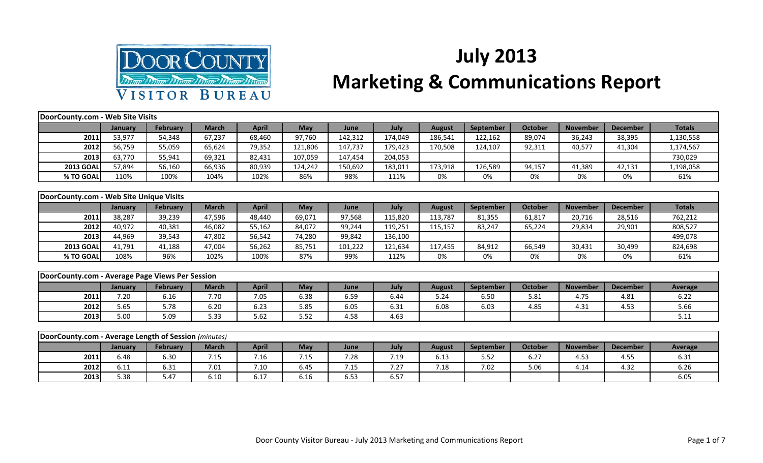

## **July 2013 Marketing & Communications Report**

| DoorCounty.com - Web Site Visits                     |                |                 |              |              |            |             |             |               |                  |                |                 |                 |                |
|------------------------------------------------------|----------------|-----------------|--------------|--------------|------------|-------------|-------------|---------------|------------------|----------------|-----------------|-----------------|----------------|
|                                                      | <b>January</b> | <b>February</b> | <b>March</b> | <b>April</b> | <b>May</b> | June        | <b>July</b> | <b>August</b> | <b>September</b> | <b>October</b> | <b>November</b> | <b>December</b> | <b>Totals</b>  |
| 2011                                                 | 53,977         | 54,348          | 67,237       | 68,460       | 97,760     | 142,312     | 174,049     | 186,541       | 122,162          | 89,074         | 36,243          | 38,395          | 1,130,558      |
| 2012                                                 | 56,759         | 55,059          | 65,624       | 79,352       | 121,806    | 147,737     | 179,423     | 170,508       | 124,107          | 92,311         | 40,577          | 41,304          | 1,174,567      |
| 2013                                                 | 63,770         | 55,941          | 69,321       | 82,431       | 107,059    | 147,454     | 204,053     |               |                  |                |                 |                 | 730,029        |
| <b>2013 GOAI</b>                                     | 57,894         | 56,160          | 66,936       | 80,939       | 124,242    | 150,692     | 183,011     | 173,918       | 126,589          | 94,157         | 41,389          | 42,131          | 1,198,058      |
| % TO GOAL                                            | 110%           | 100%            | 104%         | 102%         | 86%        | 98%         | 111%        | 0%            | 0%               | 0%             | 0%              | 0%              | 61%            |
|                                                      |                |                 |              |              |            |             |             |               |                  |                |                 |                 |                |
| DoorCounty.com - Web Site Unique Visits              |                |                 |              |              |            |             |             |               |                  |                |                 |                 |                |
|                                                      | <b>January</b> | <b>February</b> | <b>March</b> | <b>April</b> | May        | June        | July        | <b>August</b> | September        | <b>October</b> | <b>November</b> | <b>December</b> | <b>Totals</b>  |
| 2011                                                 | 38,287         | 39,239          | 47,596       | 48,440       | 69,071     | 97,568      | 115,820     | 113,787       | 81,355           | 61,817         | 20,716          | 28,516          | 762,212        |
| 2012                                                 | 40,972         | 40,381          | 46,082       | 55,162       | 84,072     | 99,244      | 119,251     | 115,157       | 83,247           | 65,224         | 29,834          | 29,901          | 808,527        |
| 2013                                                 | 44,969         | 39,543          | 47,802       | 56,542       | 74,280     | 99,842      | 136,100     |               |                  |                |                 |                 | 499,078        |
| <b>2013 GOAL</b>                                     | 41,791         | 41,188          | 47,004       | 56,262       | 85,751     | 101,222     | 121,634     | 117,455       | 84,912           | 66,549         | 30,431          | 30,499          | 824,698        |
| % TO GOAL                                            | 108%           | 96%             | 102%         | 100%         | 87%        | 99%         | 112%        | 0%            | 0%               | 0%             | 0%              | 0%              | 61%            |
|                                                      |                |                 |              |              |            |             |             |               |                  |                |                 |                 |                |
| DoorCounty.com - Average Page Views Per Session      |                |                 |              |              |            |             |             |               |                  |                |                 |                 |                |
|                                                      | January        | <b>February</b> | <b>March</b> | <b>April</b> | May        | <b>June</b> | July        | <b>August</b> | <b>September</b> | <b>October</b> | <b>November</b> | <b>December</b> | <b>Average</b> |
| 2011                                                 | 7.20           | 6.16            | 7.70         | 7.05         | 6.38       | 6.59        | 6.44        | 5.24          | 6.50             | 5.81           | 4.75            | 4.81            | 6.22           |
| 2012                                                 | 5.65           | 5.78            | 6.20         | 6.23         | 5.85       | 6.05        | 6.31        | 6.08          | 6.03             | 4.85           | 4.31            | 4.53            | 5.66           |
| 2013                                                 | 5.00           | 5.09            | 5.33         | 5.62         | 5.52       | 4.58        | 4.63        |               |                  |                |                 |                 | 5.11           |
|                                                      |                |                 |              |              |            |             |             |               |                  |                |                 |                 |                |
| DoorCounty.com - Average Length of Session (minutes) |                |                 |              |              |            |             |             |               |                  |                |                 |                 |                |
|                                                      | January        | <b>February</b> | <b>March</b> | <b>April</b> | May        | June        | July        | <b>August</b> | <b>September</b> | <b>October</b> | <b>November</b> | <b>December</b> | <b>Average</b> |
| 2011                                                 | 6.48           | 6.30            | 7.15         | 7.16         | 7.15       | 7.28        | 7.19        | 6.13          | 5.52             | 6.27           | 4.53            | 4.55            | 6.31           |

**2012** 6.11 6.31 7.01 7.10 6.45 7.15 7.27 7.18 7.02 5.06 4.14 4.32 6.26 **2013** 5.38 5.47 6.10 6.17 6.16 6.53 6.57 Feb 1 1 1 1 6.05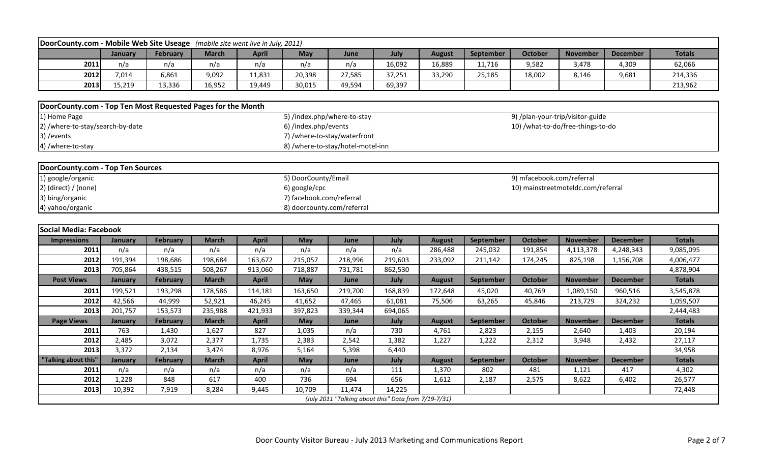| DoorCounty.com - Mobile Web Site Useage (mobile site went live in July, 2011) |                |                 |              |              |                                   |         |                                                      |               |                  |                                    |                 |                 |               |
|-------------------------------------------------------------------------------|----------------|-----------------|--------------|--------------|-----------------------------------|---------|------------------------------------------------------|---------------|------------------|------------------------------------|-----------------|-----------------|---------------|
|                                                                               | January        | <b>February</b> | <b>March</b> | <b>April</b> | May                               | June    | July                                                 | <b>August</b> | September        | <b>October</b>                     | <b>November</b> | <b>December</b> | <b>Totals</b> |
| 2011                                                                          | n/a            | n/a             | n/a          | n/a          | n/a                               | n/a     | 16,092                                               | 16,889        | 11,716           | 9,582                              | 3,478           | 4,309           | 62,066        |
| 2012                                                                          | 7,014          | 6,861           | 9,092        | 11,831       | 20,398                            | 27,585  | 37,251                                               | 33,290        | 25,185           | 18,002                             | 8,146           | 9,681           | 214,336       |
| 2013                                                                          | 15,219         | 13,336          | 16,952       | 19,449       | 30,015                            | 49,594  | 69,397                                               |               |                  |                                    |                 |                 | 213,962       |
|                                                                               |                |                 |              |              |                                   |         |                                                      |               |                  |                                    |                 |                 |               |
| DoorCounty.com - Top Ten Most Requested Pages for the Month                   |                |                 |              |              |                                   |         |                                                      |               |                  |                                    |                 |                 |               |
| 1) Home Page                                                                  |                |                 |              |              | 5) /index.php/where-to-stay       |         |                                                      |               |                  | 9) /plan-your-trip/visitor-guide   |                 |                 |               |
| 2) /where-to-stay/search-by-date                                              |                |                 |              |              | 6) /index.php/events              |         |                                                      |               |                  | 10) /what-to-do/free-things-to-do  |                 |                 |               |
| 3) / events                                                                   |                |                 |              |              | 7) /where-to-stay/waterfront      |         |                                                      |               |                  |                                    |                 |                 |               |
| 4) /where-to-stay                                                             |                |                 |              |              | 8) /where-to-stay/hotel-motel-inn |         |                                                      |               |                  |                                    |                 |                 |               |
|                                                                               |                |                 |              |              |                                   |         |                                                      |               |                  |                                    |                 |                 |               |
| DoorCounty.com - Top Ten Sources                                              |                |                 |              |              |                                   |         |                                                      |               |                  |                                    |                 |                 |               |
| 1) google/organic                                                             |                |                 |              |              | 5) DoorCounty/Email               |         |                                                      |               |                  | 9) mfacebook.com/referral          |                 |                 |               |
| $2)$ (direct) / (none)                                                        |                |                 |              |              | 6) google/cpc                     |         |                                                      |               |                  | 10) mainstreetmoteldc.com/referral |                 |                 |               |
| 3) bing/organic                                                               |                |                 |              |              | 7) facebook.com/referral          |         |                                                      |               |                  |                                    |                 |                 |               |
| 4) yahoo/organic                                                              |                |                 |              |              | 8) doorcounty.com/referral        |         |                                                      |               |                  |                                    |                 |                 |               |
|                                                                               |                |                 |              |              |                                   |         |                                                      |               |                  |                                    |                 |                 |               |
| <b>Social Media: Facebook</b>                                                 |                |                 |              |              |                                   |         |                                                      |               |                  |                                    |                 |                 |               |
| <b>Impressions</b>                                                            | January        | February        | <b>March</b> | <b>April</b> | May                               | June    | July                                                 | <b>August</b> | September        | <b>October</b>                     | <b>November</b> | <b>December</b> | <b>Totals</b> |
| 2011                                                                          | n/a            | n/a             | n/a          | n/a          | n/a                               | n/a     | n/a                                                  | 286,488       | 245,032          | 191,854                            | 4,113,378       | 4,248,343       | 9,085,095     |
| 2012                                                                          | 191,394        | 198,686         | 198,684      | 163,672      | 215,057                           | 218,996 | 219,603                                              | 233,092       | 211,142          | 174,245                            | 825,198         | 1,156,708       | 4,006,477     |
| 2013                                                                          | 705,864        | 438,515         | 508,267      | 913,060      | 718,887                           | 731,781 | 862,530                                              |               |                  |                                    |                 |                 | 4,878,904     |
| <b>Post Views</b>                                                             | January        | <b>February</b> | <b>March</b> | <b>April</b> | May                               | June    | July                                                 | <b>August</b> | <b>September</b> | <b>October</b>                     | <b>November</b> | <b>December</b> | <b>Totals</b> |
| 2011                                                                          | 199,521        | 193,298         | 178,586      | 114,181      | 163,650                           | 219,700 | 168,839                                              | 172,648       | 45,020           | 40,769                             | 1,089,150       | 960,516         | 3,545,878     |
| 2012                                                                          | 42,566         | 44,999          | 52,921       | 46,245       | 41,652                            | 47,465  | 61,081                                               | 75,506        | 63,265           | 45,846                             | 213,729         | 324,232         | 1,059,507     |
| 2013                                                                          | 201,757        | 153,573         | 235,988      | 421,933      | 397,823                           | 339,344 | 694,065                                              |               |                  |                                    |                 |                 | 2,444,483     |
| <b>Page Views</b>                                                             | <b>January</b> | <b>February</b> | <b>March</b> | <b>April</b> | May                               | June    | July                                                 | <b>August</b> | September        | <b>October</b>                     | <b>November</b> | <b>December</b> | <b>Totals</b> |
| 2011                                                                          | 763            | 1,430           | 1,627        | 827          | 1,035                             | n/a     | 730                                                  | 4,761         | 2,823            | 2,155                              | 2,640           | 1,403           | 20,194        |
| 2012                                                                          | 2,485          | 3,072           | 2,377        | 1,735        | 2,383                             | 2,542   | 1,382                                                | 1,227         | 1,222            | 2,312                              | 3,948           | 2,432           | 27,117        |
| 2013                                                                          | 3,372          | 2,134           | 3,474        | 8,976        | 5,164                             | 5,398   | 6,440                                                |               |                  |                                    |                 |                 | 34,958        |
| 'Talking about this"                                                          | January        | February        | <b>March</b> | <b>April</b> | May                               | June    | July                                                 | <b>August</b> | September        | <b>October</b>                     | <b>November</b> | <b>December</b> | <b>Totals</b> |
| 2011                                                                          | n/a            | n/a             | n/a          | n/a          | n/a                               | n/a     | 111                                                  | 1,370         | 802              | 481                                | 1,121           | 417             | 4,302         |
| 2012                                                                          | 1,228          | 848             | 617          | 400          | 736                               | 694     | 656                                                  | 1,612         | 2,187            | 2,575                              | 8,622           | 6,402           | 26,577        |
| 2013                                                                          | 10,392         | 7,919           | 8,284        | 9,445        | 10,709                            | 11,474  | 14,225                                               |               |                  |                                    |                 |                 | 72,448        |
|                                                                               |                |                 |              |              |                                   |         | (July 2011 "Talking about this" Data from 7/19-7/31) |               |                  |                                    |                 |                 |               |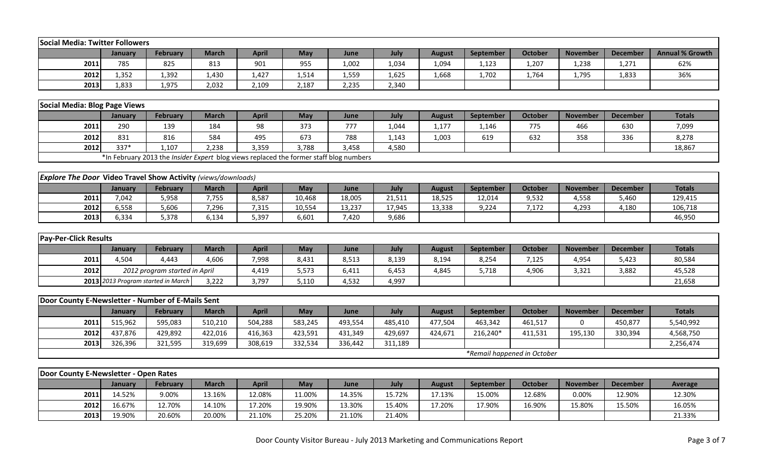| Social Media: Twitter Followers                                      |                |                                                                                        |              |              |            |         |         |               |           |                             |                 |                 |                        |
|----------------------------------------------------------------------|----------------|----------------------------------------------------------------------------------------|--------------|--------------|------------|---------|---------|---------------|-----------|-----------------------------|-----------------|-----------------|------------------------|
|                                                                      | January        | <b>February</b>                                                                        | <b>March</b> | <b>April</b> | May        | June    | July    | <b>August</b> | September | <b>October</b>              | <b>November</b> | <b>December</b> | <b>Annual % Growth</b> |
| 2011                                                                 | 785            | 825                                                                                    | 813          | 901          | 955        | 1,002   | 1,034   | 1,094         | 1,123     | 1,207                       | 1,238           | 1,271           | 62%                    |
| 2012                                                                 | 1,352          | 1,392                                                                                  | 1,430        | 1,427        | 1,514      | 1,559   | 1,625   | 1,668         | 1,702     | 1,764                       | 1,795           | 1,833           | 36%                    |
| 2013                                                                 | 1,833          | 1,975                                                                                  | 2,032        | 2,109        | 2,187      | 2,235   | 2,340   |               |           |                             |                 |                 |                        |
|                                                                      |                |                                                                                        |              |              |            |         |         |               |           |                             |                 |                 |                        |
| Social Media: Blog Page Views                                        |                |                                                                                        |              |              |            |         |         |               |           |                             |                 |                 |                        |
|                                                                      | <b>January</b> | February                                                                               | <b>March</b> | <b>April</b> | May        | June    | July    | <b>August</b> | September | <b>October</b>              | <b>November</b> | <b>December</b> | <b>Totals</b>          |
| 2011                                                                 | 290            | 139                                                                                    | 184          | 98           | 373        | 777     | 1,044   | 1,177         | 1,146     | 775                         | 466             | 630             | 7,099                  |
| 2012                                                                 | 831            | 816                                                                                    | 584          | 495          | 673        | 788     | 1,143   | 1,003         | 619       | 632                         | 358             | 336             | 8,278                  |
| 2012                                                                 | 337*           | 1,107                                                                                  | 2,238        | 3,359        | 3,788      | 3,458   | 4,580   |               |           |                             |                 |                 | 18,867                 |
|                                                                      |                | *In February 2013 the Insider Expert blog views replaced the former staff blog numbers |              |              |            |         |         |               |           |                             |                 |                 |                        |
|                                                                      |                |                                                                                        |              |              |            |         |         |               |           |                             |                 |                 |                        |
| <b>Explore The Door Video Travel Show Activity</b> (views/downloads) |                |                                                                                        |              |              |            |         |         |               |           |                             |                 |                 |                        |
|                                                                      | January        | <b>February</b>                                                                        | <b>March</b> | <b>April</b> | May        | June    | July    | <b>August</b> | September | <b>October</b>              | <b>November</b> | <b>December</b> | <b>Totals</b>          |
| 2011                                                                 | 7,042          | 5,958                                                                                  | 7,755        | 8,587        | 10,468     | 18,005  | 21,511  | 18,525        | 12,014    | 9,532                       | 4,558           | 5,460           | 129,415                |
| 2012                                                                 | 6,558          | 5,606                                                                                  | 7,296        | 7,315        | 10,554     | 13,237  | 17,945  | 13,338        | 9,224     | 7,172                       | 4,293           | 4,180           | 106,718                |
| 2013                                                                 | 6,334          | 5,378                                                                                  | 6,134        | 5,397        | 6,601      | 7,420   | 9,686   |               |           |                             |                 |                 | 46,950                 |
|                                                                      |                |                                                                                        |              |              |            |         |         |               |           |                             |                 |                 |                        |
| <b>Pay-Per-Click Results</b>                                         |                |                                                                                        |              |              |            |         |         |               |           |                             |                 |                 |                        |
|                                                                      | January        | <b>February</b>                                                                        | <b>March</b> | <b>April</b> | <b>May</b> | June    | July    | <b>August</b> | September | <b>October</b>              | <b>November</b> | <b>December</b> | <b>Totals</b>          |
| 2011                                                                 | 4,504          | 4,443                                                                                  | 4,606        | 7,998        | 8,431      | 8,513   | 8,139   | 8,194         | 8,254     | 7,125                       | 4,954           | 5,423           | 80,584                 |
| 2012                                                                 |                | 2012 program started in April                                                          |              | 4,419        | 5,573      | 6,411   | 6,453   | 4,845         | 5,718     | 4,906                       | 3,321           | 3,882           | 45,528                 |
|                                                                      |                | 2013 2013 Program started in March                                                     | 3,222        | 3,797        | 5,110      | 4,532   | 4,997   |               |           |                             |                 |                 | 21,658                 |
| Door County E-Newsletter - Number of E-Mails Sent                    |                |                                                                                        |              |              |            |         |         |               |           |                             |                 |                 |                        |
|                                                                      |                |                                                                                        | <b>March</b> | <b>April</b> | May        | June    | July    |               |           | <b>October</b>              | <b>November</b> | <b>December</b> | <b>Totals</b>          |
|                                                                      | January        | <b>February</b>                                                                        |              |              |            |         |         | <b>August</b> | September |                             |                 |                 |                        |
| 2011                                                                 | 515,962        | 595,083                                                                                | 510,210      | 504,288      | 583,245    | 493,554 | 485,410 | 477,504       | 463,342   | 461,517                     | $\mathbf{0}$    | 450,877         | 5,540,992              |
| 2012                                                                 | 437,876        | 429,892                                                                                | 422,016      | 416,363      | 423,591    | 431,349 | 429,697 | 424,671       | 216,240*  | 411,531                     | 195,130         | 330,394         | 4,568,750              |
| 2013                                                                 | 326,396        | 321,595                                                                                | 319,699      | 308,619      | 332,534    | 336,442 | 311,189 |               |           | *Remail happened in October |                 |                 | 2,256,474              |
|                                                                      |                |                                                                                        |              |              |            |         |         |               |           |                             |                 |                 |                        |
| Door County E-Newsletter - Open Rates                                |                |                                                                                        |              |              |            |         |         |               |           |                             |                 |                 |                        |
|                                                                      | January        | February                                                                               | <b>March</b> | <b>April</b> | May        | June    | July    | <b>August</b> | September | <b>October</b>              | <b>November</b> | <b>December</b> | Average                |
| 2011                                                                 | 14.52%         | 9.00%                                                                                  | 13.16%       | 12.08%       | 11.00%     | 14.35%  | 15.72%  | 17.13%        | 15.00%    | 12.68%                      | 0.00%           | 12.90%          | 12.30%                 |
| 2012                                                                 | 16.67%         | 12.70%                                                                                 | 14.10%       | 17.20%       | 19.90%     | 13.30%  | 15.40%  | 17.20%        | 17.90%    | 16.90%                      | 15.80%          | 15.50%          | 16.05%                 |
| 2013                                                                 | 19.90%         | 20.60%                                                                                 | 20.00%       | 21.10%       | 25.20%     | 21.10%  | 21.40%  |               |           |                             |                 |                 | 21.33%                 |
|                                                                      |                |                                                                                        |              |              |            |         |         |               |           |                             |                 |                 |                        |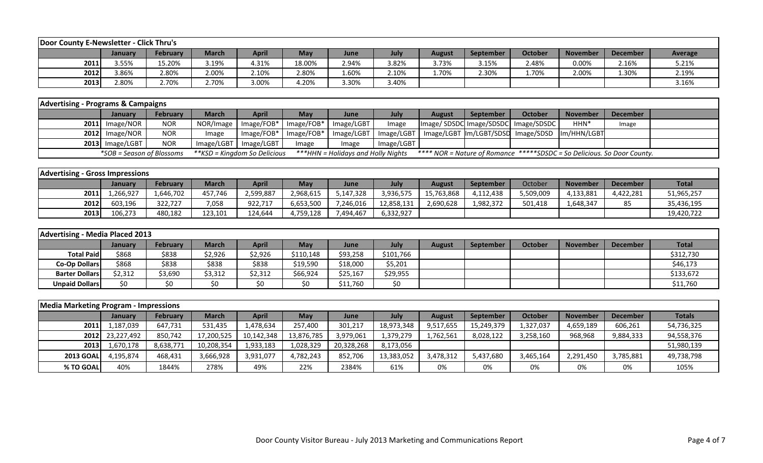| Door County E-Newsletter - Click Thru's |         |                 |              |              |            |       |       |               |           |         |                 |                 |         |
|-----------------------------------------|---------|-----------------|--------------|--------------|------------|-------|-------|---------------|-----------|---------|-----------------|-----------------|---------|
|                                         | January | <b>February</b> | <b>March</b> | <b>April</b> | <b>May</b> | June  | July  | <b>August</b> | September | October | <b>November</b> | <b>December</b> | Average |
| 2011                                    | 3.55%   | 15.20%          | 3.19%        | 4.31%        | 18.00%     | 2.94% | 3.82% | 3.73%         | 3.15%     | 2.48%   | 0.00%           | 2.16%           | 5.21%   |
| 2012                                    | 3.86%   | 2.80%           | 2.00%        | 2.10%        | 2.80%      | 1.60% | 2.10% | 1.70%         | 2.30%     | 1.70%   | 2.00%           | 1.30%           | 2.19%   |
| 2013                                    | 2.80%   | 2.70%           | 2.70%        | 3.00%        | 4.20%      | 3.30% | 3.40% |               |           |         |                 |                 | 3.16%   |

| <b>Advertising - Programs &amp; Campaigns</b> |                           |                 |                              |                         |                                                  |                                    |            |               |           |                                                                         |                  |                 |  |
|-----------------------------------------------|---------------------------|-----------------|------------------------------|-------------------------|--------------------------------------------------|------------------------------------|------------|---------------|-----------|-------------------------------------------------------------------------|------------------|-----------------|--|
|                                               | <b>January</b>            | <b>February</b> | March                        | <b>April</b>            | <b>May</b>                                       | June                               | July       | <b>August</b> | September | October                                                                 | <b>November</b>  | <b>December</b> |  |
|                                               | $2011$ Image/NOR          | <b>NOR</b>      |                              |                         | NOR/Image   Image/FOB*   Image/FOB*   Image/LGBT |                                    | Image      |               |           | Image/SDSDC Image/SDSDC Image/SDSDC                                     | HHN <sup>*</sup> | Image           |  |
|                                               | $2012$ Image/NOR          | <b>NOR</b>      | Image                        |                         | Image/FOB*   Image/FOB*   Image/LGBT             |                                    |            |               |           | Image/LGBT   Image/LGBT  Im/LGBT/SDSD   Image/SDSD  Im/HHN/LGBT         |                  |                 |  |
|                                               | $2013$ Image/LGBT         | <b>NOR</b>      |                              | Image/LGBT   Image/LGBT | 'mage                                            | Image                              | Image/LGBT |               |           |                                                                         |                  |                 |  |
|                                               | *SOB = Season of Blossoms |                 | **KSD = Kingdom So Delicious |                         |                                                  | ***HHN = Holidays and Holly Nights |            |               |           | **** NOR = Nature of Romance *****SDSDC = So Delicious. So Door County. |                  |                 |  |

| <b>Advertising - Gross Impressions</b> |                |           |         |           |           |             |            |            |                  |           |                 |                 |              |
|----------------------------------------|----------------|-----------|---------|-----------|-----------|-------------|------------|------------|------------------|-----------|-----------------|-----------------|--------------|
|                                        | <b>January</b> | February  | March   | April     | May       | <b>June</b> | July       | August     | <b>September</b> | October   | <b>November</b> | <b>December</b> | <b>Total</b> |
| 2011                                   | .,266,927      | 1,646,702 | 457.746 | 2,599,887 | 2,968,615 | 5,147,328   | 3,936,575  | 15,763,868 | 4,112,438        | 5,509,009 | 4,133,881       | 4,422,281       | 51,965,257   |
| 2012                                   | 603,196        | 322.727   | 7,058   | 922,717   | 6,653,500 | 7,246,016   | 12,858,131 | 2,690,628  | 1,982,372        | 501,418   | .,648,347       | 85              | 35,436,195   |
| 2013                                   | 106,273        | 480,182   | 123,101 | 124,644   | 4,759,128 | 7,494,467   | 6,332,927  |            |                  |           |                 |                 | 19,420,722   |

| Advertising - Media Placed 2013 |         |                 |              |              |            |          |           |               |           |         |                 |                 |              |
|---------------------------------|---------|-----------------|--------------|--------------|------------|----------|-----------|---------------|-----------|---------|-----------------|-----------------|--------------|
|                                 | Januarv | <b>February</b> | <b>March</b> | <b>April</b> | <b>May</b> | June     | July      | <b>August</b> | September | October | <b>November</b> | <b>December</b> | <b>Total</b> |
| <b>Total Paid</b>               | \$868   | \$838           | ኔ2,926       | \$2,926      | \$110,148  | \$93,258 | \$101,766 |               |           |         |                 |                 | \$312,730    |
| <b>Co-Op Dollars</b>            | \$868   | \$838           | \$838        | \$838        | \$19,590   | \$18,000 | \$5,201   |               |           |         |                 |                 | \$46,173     |
| <b>Barter Dollars</b>           | \$2,312 | \$3,690         | \$3,312      | \$2,312      | \$66,924   | \$25,167 | \$29,955  |               |           |         |                 |                 | \$133,672    |
| <b>Unpaid Dollars</b>           | \$0     | \$0             |              | \$0          | \$0        | \$11,760 | \$0       |               |           |         |                 |                 | \$11,760     |

| <b>Media Marketing Program - Impressions</b> |                 |           |              |              |            |            |            |               |            |           |                 |                 |               |
|----------------------------------------------|-----------------|-----------|--------------|--------------|------------|------------|------------|---------------|------------|-----------|-----------------|-----------------|---------------|
|                                              | <b>January</b>  | February  | <b>March</b> | <b>April</b> | May        | June       | July       | <b>August</b> | September  | October   | <b>November</b> | <b>December</b> | <b>Totals</b> |
| 2011                                         | 1,187,039       | 647,731   | 531,435      | 1,478,634    | 257,400    | 301,217    | 18,973,348 | 9,517,655     | 15,249,379 | 1,327,037 | 4,659,189       | 606,261         | 54,736,325    |
|                                              | 2012 23,227,492 | 850,742   | 17,200,525   | 10,142,348   | 13,876,785 | 3,979,061  | 1,379,279  | 1,762,561     | 8,028,122  | 3,258,160 | 968,968         | 9,884,333       | 94,558,376    |
| 2013                                         | 1,670,178       | 8,638,771 | 10,208,354   | 1,933,183    | 1,028,329  | 20,328,268 | 8,173,056  |               |            |           |                 |                 | 51,980,139    |
| <b>2013 GOAL</b>                             | 4.195.874       | 468,431   | 3,666,928    | 3,931,077    | 4,782,243  | 852,706    | 13,383,052 | 3,478,312     | 5,437,680  | 3,465,164 | 2,291,450       | 3,785,881       | 49,738,798    |
| % TO GOAL                                    | 40%             | 1844%     | 278%         | 49%          | 22%        | 2384%      | 61%        | 0%            | 0%         | 0%        | 0%              | 0%              | 105%          |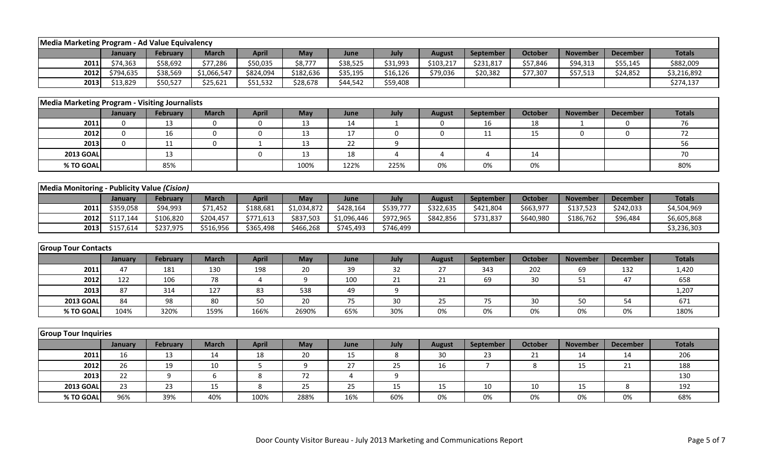| Media Marketing Program - Ad Value Equivalency |             |                 |                  |                  |             |             |              |                  |                |                |                 |                 |               |
|------------------------------------------------|-------------|-----------------|------------------|------------------|-------------|-------------|--------------|------------------|----------------|----------------|-----------------|-----------------|---------------|
|                                                | January     | <b>February</b> | <b>March</b>     | <b>April</b>     | May         | June        | July         | <b>August</b>    | September      | <b>October</b> | <b>November</b> | <b>December</b> | <b>Totals</b> |
| 2011                                           | \$74,363    | \$58,692        | \$77,286         | \$50,035         | \$8,777     | \$38,525    | \$31,993     | \$103,217        | \$231,817      | \$57,846       | \$94,313        | \$55,145        | \$882,009     |
| 2012                                           | \$794,635   | \$38,569        | \$1,066,547      | \$824,094        | \$182,636   | \$35,195    | \$16,126     | \$79,036         | \$20,382       | \$77,307       | \$57,513        | \$24,852        | \$3,216,892   |
| 2013                                           | \$13,829    | \$50,527        | \$25,621         | \$51,532         | \$28,678    | \$44,542    | \$59,408     |                  |                |                |                 |                 | \$274,137     |
|                                                |             |                 |                  |                  |             |             |              |                  |                |                |                 |                 |               |
| Media Marketing Program - Visiting Journalists |             |                 |                  |                  |             |             |              |                  |                |                |                 |                 |               |
|                                                | January     | <b>February</b> | <b>March</b>     | <b>April</b>     | May         | June        | July         | <b>August</b>    | September      | <b>October</b> | <b>November</b> | <b>December</b> | <b>Totals</b> |
| 2011                                           | 0           | 13              | 0                | 0                | 13          | 14          | $\mathbf{1}$ | 0                | 16             | 18             | -1              | 0               | 76            |
| 2012                                           | $\mathbf 0$ | 16              | $\mathbf 0$      | 0                | 13          | 17          | 0            | $\boldsymbol{0}$ | 11             | 15             | $\mathbf 0$     | $\mathbf 0$     | 72            |
| 2013                                           | $\mathbf 0$ | 11              | $\mathbf 0$      | 1                | 13          | 22          | 9            |                  |                |                |                 |                 | 56            |
| <b>2013 GOAL</b>                               |             | 13              |                  | $\boldsymbol{0}$ | 13          | 18          | 4            | $\overline{4}$   | $\overline{4}$ | 14             |                 |                 | 70            |
| % TO GOAL                                      |             | 85%             |                  |                  | 100%        | 122%        | 225%         | 0%               | 0%             | 0%             |                 |                 | 80%           |
|                                                |             |                 |                  |                  |             |             |              |                  |                |                |                 |                 |               |
| Media Monitoring - Publicity Value (Cision)    |             |                 |                  |                  |             |             |              |                  |                |                |                 |                 |               |
|                                                | January     | February        | <b>March</b>     | <b>April</b>     | May         | June        | July         | <b>August</b>    | September      | <b>October</b> | <b>November</b> | <b>December</b> | <b>Totals</b> |
| 2011                                           | \$359,058   | \$94,993        | \$71,452         | \$188,681        | \$1,034,872 | \$428,164   | \$539,777    | \$322,635        | \$421,804      | \$663,977      | \$137,523       | \$242,033       | \$4,504,969   |
| 2012                                           | \$117,144   | \$106,820       | \$204,457        | \$771,613        | \$837,503   | \$1,096,446 | \$972,965    | \$842,856        | \$731,837      | \$640,980      | \$186,762       | \$96,484        | \$6,605,868   |
| 2013                                           | \$157,614   | \$237,975       | \$516,956        | \$365,498        | \$466,268   | \$745,493   | \$746,499    |                  |                |                |                 |                 | \$3,236,303   |
|                                                |             |                 |                  |                  |             |             |              |                  |                |                |                 |                 |               |
| <b>Group Tour Contacts</b>                     |             |                 |                  |                  |             |             |              |                  |                |                |                 |                 |               |
|                                                | January     | <b>February</b> | <b>March</b>     | <b>April</b>     | May         | June        | July         | <b>August</b>    | September      | <b>October</b> | <b>November</b> | <b>December</b> | <b>Totals</b> |
| 2011                                           | 47          | 181             | 130              | 198              | 20          | 39          | 32           | 27               | 343            | 202            | 69              | 132             | 1,420         |
| 2012                                           | 122         | 106             | 78               | $\overline{4}$   | 9           | 100         | 21           | 21               | 69             | 30             | 51              | 47              | 658           |
| 2013                                           | 87          | 314             | 127              | 83               | 538         | 49          | 9            |                  |                |                |                 |                 | 1,207         |
| <b>2013 GOAL</b>                               | 84          | 98              | 80               | 50               | 20          | 75          | 30           | 25               | 75             | 30             | 50              | 54              | 671           |
| % TO GOAL                                      | 104%        | 320%            | 159%             | 166%             | 2690%       | 65%         | 30%          | 0%               | 0%             | 0%             | 0%              | 0%              | 180%          |
|                                                |             |                 |                  |                  |             |             |              |                  |                |                |                 |                 |               |
| <b>Group Tour Inquiries</b>                    |             |                 |                  |                  |             |             |              |                  |                |                |                 |                 |               |
|                                                | January     | <b>February</b> | <b>March</b>     | <b>April</b>     | May         | June        | July         | <b>August</b>    | September      | <b>October</b> | <b>November</b> | <b>December</b> | <b>Totals</b> |
| 2011                                           | 16          | 13              | 14               | 18               | 20          | 15          | 8            | 30               | 23             | 21             | 14              | 14              | 206           |
| 2012                                           | 26          | 19              | $10\,$           | 5                | 9           | 27          | 25           | 16               | $\overline{7}$ | 8              | 15              | 21              | 188           |
| 2013                                           | 22          | 9               | $\boldsymbol{6}$ | $\,8\,$          | 72          | 4           | 9            |                  |                |                |                 |                 | 130           |
| <b>2013 GOAL</b>                               | 23          | 23              | 15               | 8                | 25          | 25          | 15           | 15               | 10             | 10             | 15              | 8               | 192           |
| % TO GOAL                                      | 96%         | 39%             | 40%              | 100%             | 288%        | 16%         | 60%          | 0%               | 0%             | 0%             | 0%              | 0%              | 68%           |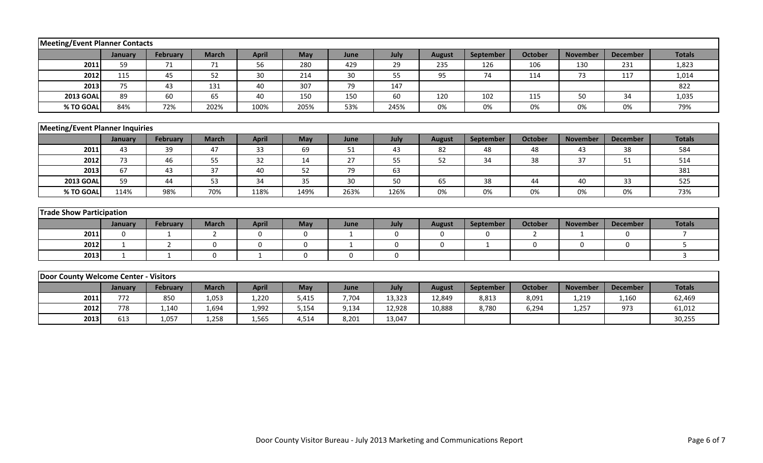| Meeting/Event Planner Contacts         |              |                 |              |              |             |              |             |               |              |                |                 |                 |                |
|----------------------------------------|--------------|-----------------|--------------|--------------|-------------|--------------|-------------|---------------|--------------|----------------|-----------------|-----------------|----------------|
|                                        | January      | <b>February</b> | <b>March</b> | <b>April</b> | May         | June         | July        | <b>August</b> | September    | <b>October</b> | <b>November</b> | <b>December</b> | <b>Totals</b>  |
| 2011                                   | 59           | 71              | 71           | 56           | 280         | 429          | 29          | 235           | 126          | 106            | 130             | 231             | 1,823          |
| 2012                                   | 115          | 45              | 52           | 30           | 214         | 30           | 55          | 95            | 74           | 114            | 73              | 117             | 1,014          |
| 2013                                   | 75           | 43              | 131          | 40           | 307         | 79           | 147         |               |              |                |                 |                 | 822            |
| <b>2013 GOAL</b>                       | 89           | 60              | 65           | 40           | 150         | 150          | 60          | 120           | 102          | 115            | 50              | 34              | 1,035          |
| % TO GOAL                              | 84%          | 72%             | 202%         | 100%         | 205%        | 53%          | 245%        | 0%            | 0%           | 0%             | 0%              | 0%              | 79%            |
|                                        |              |                 |              |              |             |              |             |               |              |                |                 |                 |                |
| <b>Meeting/Event Planner Inquiries</b> |              |                 |              |              |             |              |             |               |              |                |                 |                 |                |
|                                        | January      | <b>February</b> | <b>March</b> | <b>April</b> | May         | June         | July        | <b>August</b> | September    | <b>October</b> | <b>November</b> | <b>December</b> | <b>Totals</b>  |
| 2011                                   | 43           | 39              | 47           | 33           | 69          | 51           | 43          | 82            | 48           | 48             | 43              | 38              | 584            |
| 2012                                   | 73           | 46              | 55           | 32           | 14          | 27           | 55          | 52            | 34           | 38             | 37              | 51              | 514            |
| 2013                                   | 67           | 43              | 37           | 40           | 52          | 79           | 63          |               |              |                |                 |                 | 381            |
| <b>2013 GOAL</b>                       | 59           | 44              | 53           | 34           | 35          | 30           | 50          | 65            | 38           | 44             | 40              | 33              | 525            |
| % TO GOAL                              | 114%         | 98%             | 70%          | 118%         | 149%        | 263%         | 126%        | 0%            | 0%           | 0%             | 0%              | 0%              | 73%            |
|                                        |              |                 |              |              |             |              |             |               |              |                |                 |                 |                |
| <b>Trade Show Participation</b>        |              |                 |              |              |             |              |             |               |              |                |                 |                 |                |
|                                        | January      | <b>February</b> | <b>March</b> | <b>April</b> | May         | June         | July        | <b>August</b> | September    | <b>October</b> | <b>November</b> | <b>December</b> | <b>Totals</b>  |
| 2011                                   | $\mathbf 0$  | $\mathbf{1}$    | 2            | $\mathbf 0$  | $\mathbf 0$ | $\mathbf{1}$ | $\mathbf 0$ | $\mathbf 0$   | $\mathbf 0$  | $\overline{2}$ | 1               | $\mathbf 0$     | $\overline{7}$ |
| 2012                                   | $\mathbf{1}$ | 2               | $\Omega$     | $\mathbf 0$  | $\mathbf 0$ | $\mathbf{1}$ | 0           | $\mathbf 0$   | $\mathbf{1}$ | $\Omega$       | $\mathbf 0$     | $\Omega$        | 5              |
| 2013                                   | 1            | $\mathbf{1}$    | 0            | $\mathbf 1$  | 0           | 0            | $\mathbf 0$ |               |              |                |                 |                 | $\mathbf{3}$   |
|                                        |              |                 |              |              |             |              |             |               |              |                |                 |                 |                |
| Door County Welcome Center - Visitors  |              |                 |              |              |             |              |             |               |              |                |                 |                 |                |
|                                        | January      | <b>February</b> | <b>March</b> | <b>April</b> | May         | June         | July        | <b>August</b> | September    | <b>October</b> | <b>November</b> | <b>December</b> | <b>Totals</b>  |
| 2011                                   | 772          | 850             | 1,053        | 1,220        | 5,415       | 7,704        | 13,323      | 12,849        | 8,813        | 8,091          | 1,219           | 1,160           | 62,469         |
| 2012                                   | 778          | 1,140           | 1,694        | 1,992        | 5,154       | 9,134        | 12,928      | 10,888        | 8,780        | 6,294          | 1,257           | 973             | 61,012         |
| 2013                                   | 613          | 1,057           | 1,258        | 1,565        | 4,514       | 8,201        | 13,047      |               |              |                |                 |                 | 30,255         |